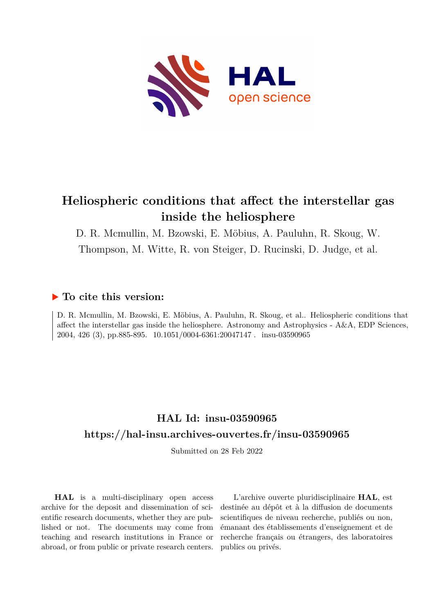

# **Heliospheric conditions that affect the interstellar gas inside the heliosphere**

D. R. Mcmullin, M. Bzowski, E. Möbius, A. Pauluhn, R. Skoug, W.

Thompson, M. Witte, R. von Steiger, D. Rucinski, D. Judge, et al.

# **To cite this version:**

D. R. Mcmullin, M. Bzowski, E. Möbius, A. Pauluhn, R. Skoug, et al.. Heliospheric conditions that affect the interstellar gas inside the heliosphere. Astronomy and Astrophysics - A&A, EDP Sciences, 2004, 426 (3), pp.885-895. 10.1051/0004-6361:20047147. insu-03590965

# **HAL Id: insu-03590965 <https://hal-insu.archives-ouvertes.fr/insu-03590965>**

Submitted on 28 Feb 2022

**HAL** is a multi-disciplinary open access archive for the deposit and dissemination of scientific research documents, whether they are published or not. The documents may come from teaching and research institutions in France or abroad, or from public or private research centers.

L'archive ouverte pluridisciplinaire **HAL**, est destinée au dépôt et à la diffusion de documents scientifiques de niveau recherche, publiés ou non, émanant des établissements d'enseignement et de recherche français ou étrangers, des laboratoires publics ou privés.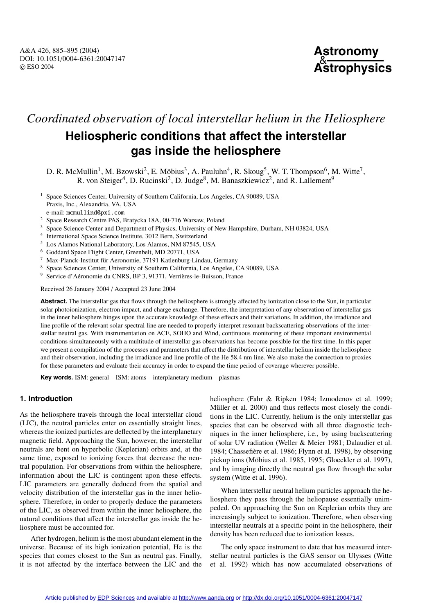# *Coordinated observation of local interstellar helium in the Heliosphere*

# **Heliospheric conditions that affect the interstellar gas inside the heliosphere**

D. R. McMullin<sup>1</sup>, M. Bzowski<sup>2</sup>, E. Möbius<sup>3</sup>, A. Pauluhn<sup>4</sup>, R. Skoug<sup>5</sup>, W. T. Thompson<sup>6</sup>, M. Witte<sup>7</sup>, R. von Steiger<sup>4</sup>, D. Rucinski<sup>2</sup>, D. Judge<sup>8</sup>, M. Banaszkiewicz<sup>2</sup>, and R. Lallement<sup>9</sup>

- <sup>1</sup> Space Sciences Center, University of Southern California, Los Angeles, CA 90089, USA Praxis, Inc., Alexandria, VA, USA
- e-mail: mcmullind@pxi.com
- <sup>2</sup> Space Research Centre PAS, Bratycka 18A, 00-716 Warsaw, Poland
- <sup>3</sup> Space Science Center and Department of Physics, University of New Hampshire, Durham, NH 03824, USA
- <sup>4</sup> International Space Science Institute, 3012 Bern, Switzerland
- <sup>5</sup> Los Alamos National Laboratory, Los Alamos, NM 87545, USA
- <sup>6</sup> Goddard Space Flight Center, Greenbelt, MD 20771, USA
- <sup>7</sup> Max-Planck-Institut für Aeronomie, 37191 Katlenburg-Lindau, Germany
- <sup>8</sup> Space Sciences Center, University of Southern California, Los Angeles, CA 90089, USA
- <sup>9</sup> Service d'Aéronomie du CNRS, BP 3, 91371, Verrières-le-Buisson, France

Received 26 January 2004 / Accepted 23 June 2004

**Abstract.** The interstellar gas that flows through the heliosphere is strongly affected by ionization close to the Sun, in particular solar photoionization, electron impact, and charge exchange. Therefore, the interpretation of any observation of interstellar gas in the inner heliosphere hinges upon the accurate knowledge of these effects and their variations. In addition, the irradiance and line profile of the relevant solar spectral line are needed to properly interpret resonant backscattering observations of the interstellar neutral gas. With instrumentation on ACE, SOHO and Wind, continuous monitoring of these important environmental conditions simultaneously with a multitude of interstellar gas observations has become possible for the first time. In this paper we present a compilation of the processes and parameters that affect the distribution of interstellar helium inside the heliosphere and their observation, including the irradiance and line profile of the He 58.4 nm line. We also make the connection to proxies for these parameters and evaluate their accuracy in order to expand the time period of coverage wherever possible.

**Key words.** ISM: general – ISM: atoms – interplanetary medium – plasmas

### **1. Introduction**

As the heliosphere travels through the local interstellar cloud (LIC), the neutral particles enter on essentially straight lines, whereas the ionized particles are deflected by the interplanetary magnetic field. Approaching the Sun, however, the interstellar neutrals are bent on hyperbolic (Keplerian) orbits and, at the same time, exposed to ionizing forces that decrease the neutral population. For observations from within the heliosphere, information about the LIC is contingent upon these effects. LIC parameters are generally deduced from the spatial and velocity distribution of the interstellar gas in the inner heliosphere. Therefore, in order to properly deduce the parameters of the LIC, as observed from within the inner heliosphere, the natural conditions that affect the interstellar gas inside the heliosphere must be accounted for.

After hydrogen, helium is the most abundant element in the universe. Because of its high ionization potential, He is the species that comes closest to the Sun as neutral gas. Finally, it is not affected by the interface between the LIC and the heliosphere (Fahr & Ripken 1984; Izmodenov et al. 1999; Müller et al. 2000) and thus reflects most closely the conditions in the LIC. Currently, helium is the only interstellar gas species that can be observed with all three diagnostic techniques in the inner heliosphere, i.e., by using backscattering of solar UV radiation (Weller & Meier 1981; Dalaudier et al. 1984; Chassefière et al. 1986; Flynn et al. 1998), by observing pickup ions (Möbius et al. 1985, 1995; Gloeckler et al. 1997), and by imaging directly the neutral gas flow through the solar system (Witte et al. 1996).

When interstellar neutral helium particles approach the heliosphere they pass through the heliopause essentially unimpeded. On approaching the Sun on Keplerian orbits they are increasingly subject to ionization. Therefore, when observing interstellar neutrals at a specific point in the heliosphere, their density has been reduced due to ionization losses.

The only space instrument to date that has measured interstellar neutral particles is the GAS sensor on Ulysses (Witte et al. 1992) which has now accumulated observations of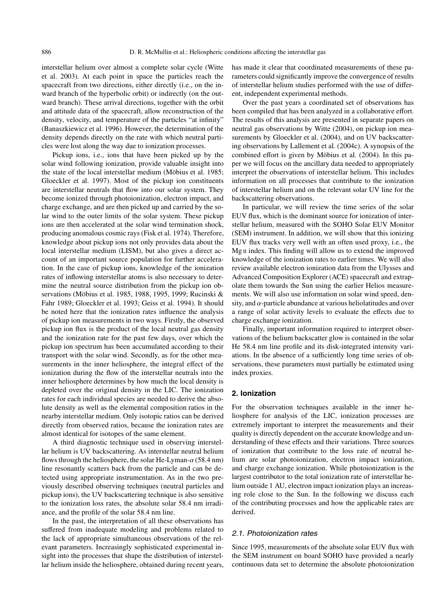interstellar helium over almost a complete solar cycle (Witte et al. 2003). At each point in space the particles reach the spacecraft from two directions, either directly (i.e., on the inward branch of the hyperbolic orbit) or indirectly (on the outward branch). These arrival directions, together with the orbit and attitude data of the spacecraft, allow reconstruction of the density, velocity, and temperature of the particles "at infinity" (Banaszkiewicz et al. 1996). However, the determination of the density depends directly on the rate with which neutral particles were lost along the way due to ionization processes.

Pickup ions, i.e., ions that have been picked up by the solar wind following ionization, provide valuable insight into the state of the local interstellar medium (Möbius et al. 1985; Gloeckler et al. 1997). Most of the pickup ion constituents are interstellar neutrals that flow into our solar system. They become ionized through photoionization, electron impact, and charge exchange, and are then picked up and carried by the solar wind to the outer limits of the solar system. These pickup ions are then accelerated at the solar wind termination shock, producing anomalous cosmic rays (Fisk et al. 1974). Therefore, knowledge about pickup ions not only provides data about the local interstellar medium (LISM), but also gives a direct account of an important source population for further acceleration. In the case of pickup ions, knowledge of the ionization rates of inflowing interstellar atoms is also necessary to determine the neutral source distribution from the pickup ion observations (Möbius et al. 1985, 1988, 1995, 1999; Rucinski & Fahr 1989; Gloeckler et al. 1993; Geiss et al. 1994). It should be noted here that the ionization rates influence the analysis of pickup ion measurements in two ways. Firstly, the observed pickup ion flux is the product of the local neutral gas density and the ionization rate for the past few days, over which the pickup ion spectrum has been accumulated according to their transport with the solar wind. Secondly, as for the other measurements in the inner heliosphere, the integral effect of the ionization during the flow of the interstellar neutrals into the inner heliosphere determines by how much the local density is depleted over the original density in the LIC. The ionization rates for each individual species are needed to derive the absolute density as well as the elemental composition ratios in the nearby interstellar medium. Only isotopic ratios can be derived directly from observed ratios, because the ionization rates are almost identical for isotopes of the same element.

A third diagnostic technique used in observing interstellar helium is UV backscattering. As interstellar neutral helium flows through the heliosphere, the solar He-Lyman- $\alpha$  (58.4 nm) line resonantly scatters back from the particle and can be detected using appropriate instrumentation. As in the two previously described observing techniques (neutral particles and pickup ions), the UV backscattering technique is also sensitive to the ionization loss rates, the absolute solar 58.4 nm irradiance, and the profile of the solar 58.4 nm line.

In the past, the interpretation of all these observations has suffered from inadequate modeling and problems related to the lack of appropriate simultaneous observations of the relevant parameters. Increasingly sophisticated experimental insight into the processes that shape the distribution of interstellar helium inside the heliosphere, obtained during recent years,

has made it clear that coordinated measurements of these parameters could significantly improve the convergence of results of interstellar helium studies performed with the use of different, independent experimental methods.

Over the past years a coordinated set of observations has been compiled that has been analyzed in a collaborative effort. The results of this analysis are presented in separate papers on neutral gas observations by Witte (2004), on pickup ion measurements by Gloeckler et al. (2004), and on UV backscattering observations by Lallement et al. (2004c). A synopsis of the combined effort is given by Möbius et al. (2004). In this paper we will focus on the ancillary data needed to appropriately interpret the observations of interstellar helium. This includes information on all processes that contribute to the ionization of interstellar helium and on the relevant solar UV line for the backscattering observations.

In particular, we will review the time series of the solar EUV flux, which is the dominant source for ionization of interstellar helium, measured with the SOHO Solar EUV Monitor (SEM) instrument. In addition, we will show that this ionizing EUV flux tracks very well with an often used proxy, i.e., the  $Mg\pi$  index. This finding will allow us to extend the improved knowledge of the ionization rates to earlier times. We will also review available electron ionization data from the Ulysses and Advanced Composition Explorer (ACE) spacecraft and extrapolate them towards the Sun using the earlier Helios measurements. We will also use information on solar wind speed, density, and  $\alpha$ -particle abundance at various heliolatitudes and over a range of solar activity levels to evaluate the effects due to charge exchange ionization.

Finally, important information required to interpret observations of the helium backscatter glow is contained in the solar He 58.4 nm line profile and its disk-integrated intensity variations. In the absence of a sufficiently long time series of observations, these parameters must partially be estimated using index proxies.

## **2. Ionization**

For the observation techniques available in the inner heliosphere for analysis of the LIC, ionization processes are extremely important to interpret the measurements and their quality is directly dependent on the accurate knowledge and understanding of these effects and their variations. Three sources of ionization that contribute to the loss rate of neutral helium are solar photoionization, electron impact ionization, and charge exchange ionization. While photoionization is the largest contributor to the total ionization rate of interstellar helium outside 1 AU, electron impact ionization plays an increasing role close to the Sun. In the following we discuss each of the contributing processes and how the applicable rates are derived.

#### 2.1. Photoionization rates

Since 1995, measurements of the absolute solar EUV flux with the SEM instrument on board SOHO have provided a nearly continuous data set to determine the absolute photoionization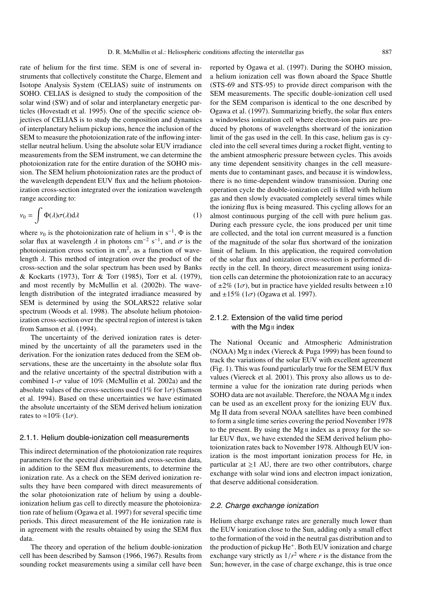rate of helium for the first time. SEM is one of several instruments that collectively constitute the Charge, Element and Isotope Analysis System (CELIAS) suite of instruments on SOHO. CELIAS is designed to study the composition of the solar wind (SW) and of solar and interplanetary energetic particles (Hovestadt et al. 1995). One of the specific science objectives of CELIAS is to study the composition and dynamics of interplanetary helium pickup ions, hence the inclusion of the SEM to measure the photoionization rate of the inflowing interstellar neutral helium. Using the absolute solar EUV irradiance measurements from the SEM instrument, we can determine the photoionization rate for the entire duration of the SOHO mission. The SEM helium photoionization rates are the product of the wavelength dependent EUV flux and the helium photoionization cross-section integrated over the ionization wavelength range according to:

$$
\nu_0 = \int \Phi(\lambda)\sigma(\lambda)d\lambda \tag{1}
$$

where  $v_0$  is the photoionization rate of helium in s<sup>-1</sup>,  $\Phi$  is the solar flux at wavelength  $\lambda$  in photons cm<sup>-2</sup> s<sup>-1</sup>, and  $\sigma$  is the photoionization cross section in cm2, as a function of wavelength  $\lambda$ . This method of integration over the product of the cross-section and the solar spectrum has been used by Banks & Kockarts (1973), Torr & Torr (1985), Torr et al. (1979), and most recently by McMullin et al. (2002b). The wavelength distribution of the integrated irradiance measured by SEM is determined by using the SOLARS22 relative solar spectrum (Woods et al. 1998). The absolute helium photoionization cross-section over the spectral region of interest is taken from Samson et al. (1994).

The uncertainty of the derived ionization rates is determined by the uncertainty of all the parameters used in the derivation. For the ionization rates deduced from the SEM observations, these are the uncertainty in the absolute solar flux and the relative uncertainty of the spectral distribution with a combined 1- $\sigma$  value of 10% (McMullin et al. 2002a) and the absolute values of the cross-sections used (1% for  $1\sigma$ ) (Samson et al. 1994). Based on these uncertainties we have estimated the absolute uncertainty of the SEM derived helium ionization rates to ≈10% (1 $\sigma$ ).

#### 2.1.1. Helium double-ionization cell measurements

This indirect determination of the photoionization rate requires parameters for the spectral distribution and cross-section data, in addition to the SEM flux measurements, to determine the ionization rate. As a check on the SEM derived ionization results they have been compared with direct measurements of the solar photoionization rate of helium by using a doubleionization helium gas cell to directly measure the photoionization rate of helium (Ogawa et al. 1997) for several specific time periods. This direct measurement of the He ionization rate is in agreement with the results obtained by using the SEM flux data.

The theory and operation of the helium double-ionization cell has been described by Samson (1966, 1967). Results from sounding rocket measurements using a similar cell have been

reported by Ogawa et al. (1997). During the SOHO mission, a helium ionization cell was flown aboard the Space Shuttle (STS-69 and STS-95) to provide direct comparison with the SEM measurements. The specific double-ionization cell used for the SEM comparison is identical to the one described by Ogawa et al. (1997). Summarizing briefly, the solar flux enters a windowless ionization cell where electron-ion pairs are produced by photons of wavelengths shortward of the ionization limit of the gas used in the cell. In this case, helium gas is cycled into the cell several times during a rocket flight, venting to the ambient atmospheric pressure between cycles. This avoids any time dependent sensitivity changes in the cell measurements due to contaminant gases, and because it is windowless, there is no time-dependent window transmission. During one operation cycle the double-ionization cell is filled with helium gas and then slowly evacuated completely several times while the ionizing flux is being measured. This cycling allows for an almost continuous purging of the cell with pure helium gas. During each pressure cycle, the ions produced per unit time are collected, and the total ion current measured is a function of the magnitude of the solar flux shortward of the ionization limit of helium. In this application, the required convolution of the solar flux and ionization cross-section is performed directly in the cell. In theory, direct measurement using ionization cells can determine the photoionization rate to an accuracy of  $\pm 2\%$  (1 $\sigma$ ), but in practice have yielded results between  $\pm 10$ and  $\pm 15\%$  (1 $\sigma$ ) (Ogawa et al. 1997).

# 2.1.2. Extension of the valid time period with the Mg<sub>II</sub> index

The National Oceanic and Atmospheric Administration (NOAA) Mg II index (Viereck  $&$  Puga 1999) has been found to track the variations of the solar EUV with excellent agreement (Fig. 1). This was found particularly true for the SEM EUV flux values (Viereck et al. 2001). This proxy also allows us to determine a value for the ionization rate during periods when SOHO data are not available. Therefore, the NOAA Mg II index can be used as an excellent proxy for the ionizing EUV flux. Mg II data from several NOAA satellites have been combined to form a single time series covering the period November 1978 to the present. By using the Mg $\pi$  index as a proxy for the solar EUV flux, we have extended the SEM derived helium photoionization rates back to November 1978. Although EUV ionization is the most important ionization process for He, in particular at  $\geq$ 1 AU, there are two other contributors, charge exchange with solar wind ions and electron impact ionization, that deserve additional consideration.

### 2.2. Charge exchange ionization

Helium charge exchange rates are generally much lower than the EUV ionization close to the Sun, adding only a small effect to the formation of the void in the neutral gas distribution and to the production of pickup He<sup>+</sup>. Both EUV ionization and charge exchange vary strictly as  $1/r^2$  where *r* is the distance from the Sun; however, in the case of charge exchange, this is true once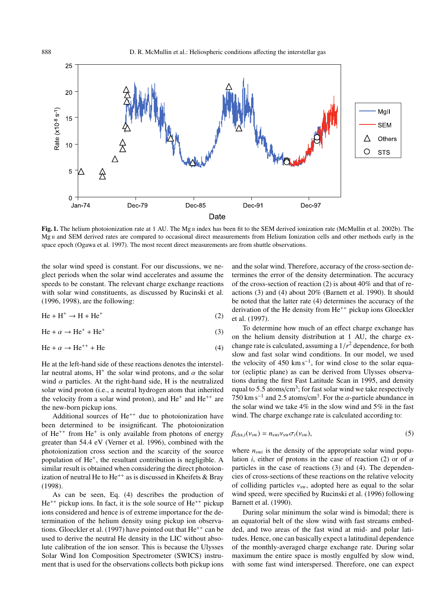

**Fig. 1.** The helium photoionization rate at 1 AU. The Mg II index has been fit to the SEM derived ionization rate (McMullin et al. 2002b). The Mg II and SEM derived rates are compared to occasional direct measurements from Helium Ionization cells and other methods early in the space epoch (Ogawa et al. 1997). The most recent direct measurements are from shuttle observations.

the solar wind speed is constant. For our discussions, we neglect periods when the solar wind accelerates and assume the speeds to be constant. The relevant charge exchange reactions with solar wind constituents, as discussed by Rucinski et al. (1996, 1998), are the following:

$$
He + H^{+} \rightarrow H + He^{+}
$$
 (2)

 $He + \alpha \rightarrow He^{+} + He^{+}$  (3)

$$
\text{He} + \alpha \to \text{He}^{++} + \text{He} \tag{4}
$$

He at the left-hand side of these reactions denotes the interstellar neutral atoms,  $H^+$  the solar wind protons, and  $\alpha$  the solar wind  $\alpha$  particles. At the right-hand side, H is the neutralized solar wind proton (i.e., a neutral hydrogen atom that inherited the velocity from a solar wind proton), and  $He<sup>+</sup>$  and  $He<sup>++</sup>$  are the new-born pickup ions.

Additional sources of  $He^{++}$  due to photoionization have been determined to be insignificant. The photoionization of  $He^{++}$  from  $He^{+}$  is only available from photons of energy greater than 54.4 eV (Verner et al. 1996), combined with the photoionization cross section and the scarcity of the source population of He<sup>+</sup>, the resultant contribution is negligible. A similar result is obtained when considering the direct photoionization of neutral He to  $He^{++}$  as is discussed in Kheifets & Bray (1998).

As can be seen, Eq. (4) describes the production of  $He^{++}$  pickup ions. In fact, it is the sole source of  $He^{++}$  pickup ions considered and hence is of extreme importance for the determination of the helium density using pickup ion observations. Gloeckler et al. (1997) have pointed out that  $He^{++}$  can be used to derive the neutral He density in the LIC without absolute calibration of the ion sensor. This is because the Ulysses Solar Wind Ion Composition Spectrometer (SWICS) instrument that is used for the observations collects both pickup ions and the solar wind. Therefore, accuracy of the cross-section determines the error of the density determination. The accuracy of the cross-section of reaction (2) is about 40% and that of reactions (3) and (4) about 20% (Barnett et al. 1990). It should be noted that the latter rate (4) determines the accuracy of the derivation of the He density from He<sup>++</sup> pickup ions Gloeckler et al. (1997).

To determine how much of an effect charge exchange has on the helium density distribution at 1 AU, the charge exchange rate is calculated, assuming a  $1/r^2$  dependence, for both slow and fast solar wind conditions. In our model, we used the velocity of 450  $km s^{-1}$ , for wind close to the solar equator (ecliptic plane) as can be derived from Ulysses observations during the first Fast Latitude Scan in 1995, and density equal to 5.5 atoms/cm<sup>3</sup>; for fast solar wind we take respectively 750 km s<sup>-1</sup> and 2.5 atoms/cm<sup>3</sup>. For the  $\alpha$ -particle abundance in the solar wind we take 4% in the slow wind and 5% in the fast wind. The charge exchange rate is calculated according to:

$$
\beta_{\text{chx},i}(\nu_{\text{sw}}) = n_{\text{swi}}\nu_{\text{sw}}\sigma_i(\nu_{\text{sw}}),\tag{5}
$$

where  $n_{swi}$  is the density of the appropriate solar wind population *i*, either of protons in the case of reaction (2) or of  $\alpha$ particles in the case of reactions (3) and (4). The dependencies of cross-sections of these reactions on the relative velocity of colliding particles  $v_{sw}$ , adopted here as equal to the solar wind speed, were specified by Rucinski et al. (1996) following Barnett et al. (1990).

During solar minimum the solar wind is bimodal; there is an equatorial belt of the slow wind with fast streams embedded, and two areas of the fast wind at mid- and polar latitudes. Hence, one can basically expect a latitudinal dependence of the monthly-averaged charge exchange rate. During solar maximum the entire space is mostly engulfed by slow wind, with some fast wind interspersed. Therefore, one can expect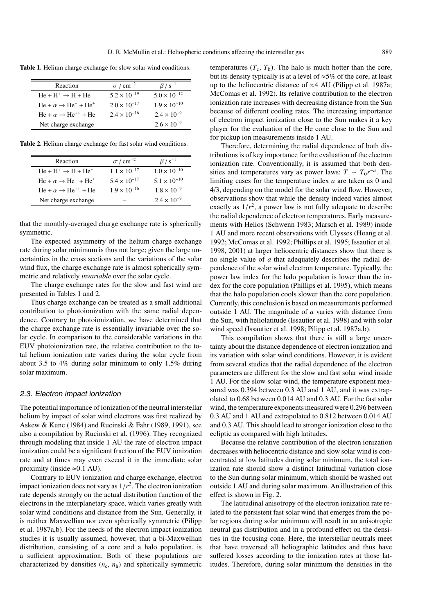**Table 1.** Helium charge exchange for slow solar wind conditions.

Î.

| Reaction                                  | $\sigma$ / cm <sup>-2</sup> | $\beta$ / s <sup>-1</sup> |
|-------------------------------------------|-----------------------------|---------------------------|
| $He + H^+ \rightarrow H + He^+$           | $5.2 \times 10^{-19}$       | $5.0 \times 10^{-12}$     |
| $He + \alpha \rightarrow He^{+} + He^{+}$ | $2.0 \times 10^{-17}$       | $1.9 \times 10^{-10}$     |
| $He + \alpha \rightarrow He^{++} + He$    | $2.4 \times 10^{-16}$       | $2.4 \times 10^{-9}$      |
| Net charge exchange                       |                             | $2.6 \times 10^{-9}$      |

**Table 2.** Helium charge exchange for fast solar wind conditions.

| Reaction                                  | $\sigma$ / cm <sup>-2</sup> | $\beta$ / s <sup>-1</sup> |
|-------------------------------------------|-----------------------------|---------------------------|
| $He + H^+ \rightarrow H + He^+$           | $1.1 \times 10^{-17}$       | $1.0 \times 10^{-10}$     |
| $He + \alpha \rightarrow He^{+} + He^{+}$ | $5.4 \times 10^{-17}$       | $5.1 \times 10^{-10}$     |
| $He + \alpha \rightarrow He^{++} + He$    | $1.9 \times 10^{-16}$       | $1.8 \times 10^{-9}$      |
| Net charge exchange                       |                             | $2.4 \times 10^{-9}$      |

that the monthly-averaged charge exchange rate is spherically symmetric.

The expected asymmetry of the helium charge exchange rate during solar minimum is thus not large; given the large uncertainties in the cross sections and the variations of the solar wind flux, the charge exchange rate is almost spherically symmetric and relatively *invariable* over the solar cycle.

The charge exchange rates for the slow and fast wind are presented in Tables 1 and 2.

Thus charge exchange can be treated as a small additional contribution to photoionization with the same radial dependence. Contrary to photoionization, we have determined that the charge exchange rate is essentially invariable over the solar cycle. In comparison to the considerable variations in the EUV photoionization rate, the relative contribution to the total helium ionization rate varies during the solar cycle from about 3.5 to 4% during solar minimum to only 1.5% during solar maximum.

#### 2.3. Electron impact ionization

The potential importance of ionization of the neutral interstellar helium by impact of solar wind electrons was first realized by Askew & Kunc (1984) and Rucinski & Fahr (1989, 1991), see also a compilation by Rucinski et al. (1996). They recognized through modeling that inside 1 AU the rate of electron impact ionization could be a significant fraction of the EUV ionization rate and at times may even exceed it in the immediate solar proximity (inside  $\approx 0.1$  AU).

Contrary to EUV ionization and charge exchange, electron impact ionization does not vary as  $1/r^2$ . The electron ionization rate depends strongly on the actual distribution function of the electrons in the interplanetary space, which varies greatly with solar wind conditions and distance from the Sun. Generally, it is neither Maxwellian nor even spherically symmetric (Pilipp et al. 1987a,b). For the needs of the electron impact ionization studies it is usually assumed, however, that a bi-Maxwellian distribution, consisting of a core and a halo population, is a sufficient approximation. Both of these populations are characterized by densities  $(n_c, n_h)$  and spherically symmetric

temperatures  $(T_c, T_h)$ . The halo is much hotter than the core, but its density typically is at a level of  $\approx 5\%$  of the core, at least up to the heliocentric distance of ≈4 AU (Pilipp et al. 1987a; McComas et al. 1992). Its relative contribution to the electron ionization rate increases with decreasing distance from the Sun because of different cooling rates. The increasing importance of electron impact ionization close to the Sun makes it a key player for the evaluation of the He cone close to the Sun and for pickup ion measurements inside 1 AU.

Therefore, determining the radial dependence of both distributions is of key importance for the evaluation of the electron ionization rate. Conventionally, it is assumed that both densities and temperatures vary as power laws:  $T \sim T_0 r^{-a}$ . The limiting cases for the temperature index *a* are taken as 0 and 4/3, depending on the model for the solar wind flow. However, observations show that while the density indeed varies almost exactly as  $1/r^2$ , a power law is not fully adequate to describe the radial dependence of electron temperatures. Early measurements with Helios (Schwenn 1983; Marsch et al. 1989) inside 1 AU and more recent observations with Ulysses (Hoang et al. 1992; McComas et al. 1992; Phillips et al. 1995; Issautier et al. 1998, 2001) at larger heliocentric distances show that there is no single value of *a* that adequately describes the radial dependence of the solar wind electron temperature. Typically, the power law index for the halo population is lower than the index for the core population (Phillips et al. 1995), which means that the halo population cools slower than the core population. Currently, this conclusion is based on measurements performed outside 1 AU. The magnitude of *a* varies with distance from the Sun, with heliolatitude (Issautier et al. 1998) and with solar wind speed (Issautier et al. 1998; Pilipp et al. 1987a,b).

This compilation shows that there is still a large uncertainty about the distance dependence of electron ionization and its variation with solar wind conditions. However, it is evident from several studies that the radial dependence of the electron parameters are different for the slow and fast solar wind inside 1 AU. For the slow solar wind, the temperature exponent measured was 0.394 between 0.3 AU and 1 AU, and it was extrapolated to 0.68 between 0.014 AU and 0.3 AU. For the fast solar wind, the temperature exponents measured were 0.296 between 0.3 AU and 1 AU and extrapolated to 0.812 between 0.014 AU and 0.3 AU. This should lead to stronger ionization close to the ecliptic as compared with high latitudes.

Because the relative contribution of the electron ionization decreases with heliocentric distance and slow solar wind is concentrated at low latitudes during solar minimum, the total ionization rate should show a distinct latitudinal variation close to the Sun during solar minimum, which should be washed out outside 1 AU and during solar maximum. An illustration of this effect is shown in Fig. 2.

The latitudinal anisotropy of the electron ionization rate related to the persistent fast solar wind that emerges from the polar regions during solar minimum will result in an anisotropic neutral gas distribution and in a profound effect on the densities in the focusing cone. Here, the interstellar neutrals meet that have traversed all heliographic latitudes and thus have suffered losses according to the ionization rates at those latitudes. Therefore, during solar minimum the densities in the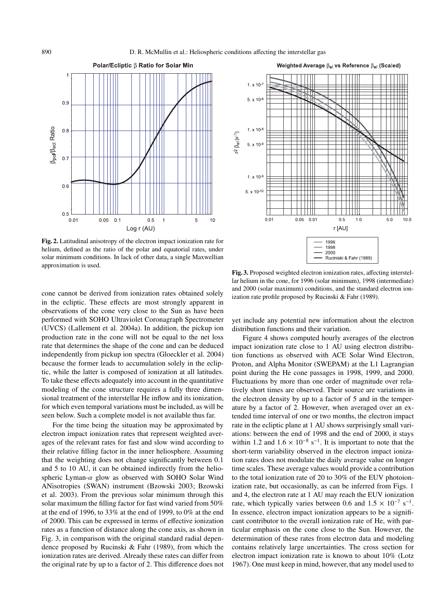

**Fig. 2.** Latitudinal anisotropy of the electron impact ionization rate for helium, defined as the ratio of the polar and equatorial rates, under solar minimum conditions. In lack of other data, a single Maxwellian approximation is used.

cone cannot be derived from ionization rates obtained solely in the ecliptic. These effects are most strongly apparent in observations of the cone very close to the Sun as have been performed with SOHO Ultraviolet Coronagraph Spectrometer (UVCS) (Lallement et al. 2004a). In addition, the pickup ion production rate in the cone will not be equal to the net loss rate that determines the shape of the cone and can be deduced independently from pickup ion spectra (Gloeckler et al. 2004) because the former leads to accumulation solely in the ecliptic, while the latter is composed of ionization at all latitudes. To take these effects adequately into account in the quantitative modeling of the cone structure requires a fully three dimensional treatment of the interstellar He inflow and its ionization, for which even temporal variations must be included, as will be seen below. Such a complete model is not available thus far.

For the time being the situation may be approximated by electron impact ionization rates that represent weighted averages of the relevant rates for fast and slow wind according to their relative filling factor in the inner heliosphere. Assuming that the weighting does not change significantly between 0.1 and 5 to 10 AU, it can be obtained indirectly from the heliospheric Lyman- $\alpha$  glow as observed with SOHO Solar Wind ANisotropies (SWAN) instrument (Bzowski 2003; Bzowski et al. 2003). From the previous solar minimum through this solar maximum the filling factor for fast wind varied from 50% at the end of 1996, to 33% at the end of 1999, to 0% at the end of 2000. This can be expressed in terms of effective ionization rates as a function of distance along the cone axis, as shown in Fig. 3, in comparison with the original standard radial dependence proposed by Rucinski & Fahr (1989), from which the ionization rates are derived. Already these rates can differ from the original rate by up to a factor of 2. This difference does not



**Fig. 3.** Proposed weighted electron ionization rates, affecting interstellar helium in the cone, for 1996 (solar minimum), 1998 (intermediate) and 2000 (solar maximum) conditions, and the standard electron ionization rate profile proposed by Rucinski & Fahr (1989).

yet include any potential new information about the electron distribution functions and their variation.

Figure 4 shows computed hourly averages of the electron impact ionization rate close to 1 AU using electron distribution functions as observed with ACE Solar Wind Electron, Proton, and Alpha Monitor (SWEPAM) at the L1 Lagrangian point during the He cone passages in 1998, 1999, and 2000. Fluctuations by more than one order of magnitude over relatively short times are observed. Their source are variations in the electron density by up to a factor of 5 and in the temperature by a factor of 2. However, when averaged over an extended time interval of one or two months, the electron impact rate in the ecliptic plane at 1 AU shows surprisingly small variations: between the end of 1998 and the end of 2000, it stays within 1.2 and  $1.6 \times 10^{-8}$  s<sup>-1</sup>. It is important to note that the short-term variability observed in the electron impact ionization rates does not modulate the daily average value on longer time scales. These average values would provide a contribution to the total ionization rate of 20 to 30% of the EUV photoionization rate, but occasionally, as can be inferred from Figs. 1 and 4, the electron rate at 1 AU may reach the EUV ionization rate, which typically varies between 0.6 and  $1.5 \times 10^{-7}$  s<sup>-1</sup>. In essence, electron impact ionization appears to be a significant contributor to the overall ionization rate of He, with particular emphasis on the cone close to the Sun. However, the determination of these rates from electron data and modeling contains relatively large uncertainties. The cross section for electron impact ionization rate is known to about 10% (Lotz 1967). One must keep in mind, however, that any model used to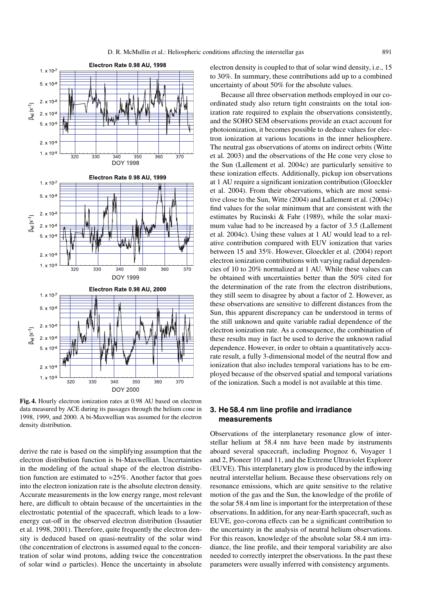

**Fig. 4.** Hourly electron ionization rates at 0.98 AU based on electron data measured by ACE during its passages through the helium cone in 1998, 1999, and 2000. A bi-Maxwellian was assumed for the electron density distribution.

derive the rate is based on the simplifying assumption that the electron distribution function is bi-Maxwellian. Uncertainties in the modeling of the actual shape of the electron distribution function are estimated to  $\approx$ 25%. Another factor that goes into the electron ionization rate is the absolute electron density. Accurate measurements in the low energy range, most relevant here, are difficult to obtain because of the uncertainties in the electrostatic potential of the spacecraft, which leads to a lowenergy cut-off in the observed electron distribution (Issautier et al. 1998, 2001). Therefore, quite frequently the electron density is deduced based on quasi-neutrality of the solar wind (the concentration of electrons is assumed equal to the concentration of solar wind protons, adding twice the concentration of solar wind  $\alpha$  particles). Hence the uncertainty in absolute

electron density is coupled to that of solar wind density, i.e., 15 to 30%. In summary, these contributions add up to a combined uncertainty of about 50% for the absolute values.

Because all three observation methods employed in our coordinated study also return tight constraints on the total ionization rate required to explain the observations consistently, and the SOHO SEM observations provide an exact account for photoionization, it becomes possible to deduce values for electron ionization at various locations in the inner heliosphere. The neutral gas observations of atoms on indirect orbits (Witte et al. 2003) and the observations of the He cone very close to the Sun (Lallement et al. 2004c) are particularly sensitive to these ionization effects. Additionally, pickup ion observations at 1 AU require a significant ionization contribution (Gloeckler et al. 2004). From their observations, which are most sensitive close to the Sun, Witte (2004) and Lallement et al. (2004c) find values for the solar minimum that are consistent with the estimates by Rucinski & Fahr (1989), while the solar maximum value had to be increased by a factor of 3.5 (Lallement et al. 2004c). Using these values at 1 AU would lead to a relative contribution compared with EUV ionization that varies between 15 and 35%. However, Gloeckler et al. (2004) report electron ionization contributions with varying radial dependencies of 10 to 20% normalized at 1 AU. While these values can be obtained with uncertainties better than the 50% cited for the determination of the rate from the electron distributions, they still seem to disagree by about a factor of 2. However, as these observations are sensitive to different distances from the Sun, this apparent discrepancy can be understood in terms of the still unknown and quite variable radial dependence of the electron ionization rate. As a consequence, the combination of these results may in fact be used to derive the unknown radial dependence. However, in order to obtain a quantitatively accurate result, a fully 3-dimensional model of the neutral flow and ionization that also includes temporal variations has to be employed because of the observed spatial and temporal variations of the ionization. Such a model is not available at this time.

# **3. He 58.4 nm line profile and irradiance measurements**

Observations of the interplanetary resonance glow of interstellar helium at 58.4 nm have been made by instruments aboard several spacecraft, including Prognoz 6, Voyager 1 and 2, Pioneer 10 and 11, and the Extreme Ultraviolet Explorer (EUVE). This interplanetary glow is produced by the inflowing neutral interstellar helium. Because these observations rely on resonance emissions, which are quite sensitive to the relative motion of the gas and the Sun, the knowledge of the profile of the solar 58.4 nm line is important for the interpretation of these observations. In addition, for any near-Earth spacecraft, such as EUVE, geo-corona effects can be a significant contribution to the uncertainty in the analysis of neutral helium observations. For this reason, knowledge of the absolute solar 58.4 nm irradiance, the line profile, and their temporal variability are also needed to correctly interpret the observations. In the past these parameters were usually inferred with consistency arguments.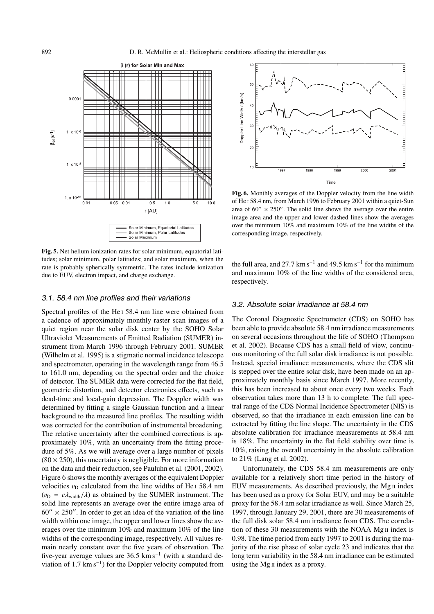



**Fig. 6.** Monthly averages of the Doppler velocity from the line width of He <sup>I</sup> 58.4 nm, from March 1996 to February 2001 within a quiet-Sun area of  $60'' \times 250''$ . The solid line shows the average over the entire image area and the upper and lower dashed lines show the averages over the minimum 10% and maximum 10% of the line widths of the corresponding image, respectively.

**Fig. 5.** Net helium ionization rates for solar minimum, equatorial latitudes; solar minimum, polar latitudes; and solar maximum, when the rate is probably spherically symmetric. The rates include ionization due to EUV, electron impact, and charge exchange.

#### 3.1. 58.4 nm line profiles and their variations

Spectral profiles of the He<sub>I</sub> 58.4 nm line were obtained from a cadence of approximately monthly raster scan images of a quiet region near the solar disk center by the SOHO Solar Ultraviolet Measurements of Emitted Radiation (SUMER) instrument from March 1996 through February 2001. SUMER (Wilhelm et al. 1995) is a stigmatic normal incidence telescope and spectrometer, operating in the wavelength range from 46.5 to 161.0 nm, depending on the spectral order and the choice of detector. The SUMER data were corrected for the flat field, geometric distortion, and detector electronics effects, such as dead-time and local-gain depression. The Doppler width was determined by fitting a single Gaussian function and a linear background to the measured line profiles. The resulting width was corrected for the contribution of instrumental broadening. The relative uncertainty after the combined corrections is approximately 10%, with an uncertainty from the fitting procedure of 5%. As we will average over a large number of pixels  $(80 \times 250)$ , this uncertainty is negligible. For more information on the data and their reduction, see Pauluhn et al. (2001, 2002). Figure 6 shows the monthly averages of the equivalent Doppler velocities  $v_D$  calculated from the line widths of He I 58.4 nm  $(v_D = c\lambda_{width}/\lambda)$  as obtained by the SUMER instrument. The solid line represents an average over the entire image area of  $60'' \times 250''$ . In order to get an idea of the variation of the line width within one image, the upper and lower lines show the averages over the minimum 10% and maximum 10% of the line widths of the corresponding image, respectively. All values remain nearly constant over the five years of observation. The five-year average values are  $36.5 \text{ km s}^{-1}$  (with a standard deviation of 1.7 km s<sup> $-1$ </sup>) for the Doppler velocity computed from the full area, and 27.7 km s<sup>-1</sup> and 49.5 km s<sup>-1</sup> for the minimum and maximum 10% of the line widths of the considered area, respectively.

#### 3.2. Absolute solar irradiance at 58.4 nm

The Coronal Diagnostic Spectrometer (CDS) on SOHO has been able to provide absolute 58.4 nm irradiance measurements on several occasions throughout the life of SOHO (Thompson et al. 2002). Because CDS has a small field of view, continuous monitoring of the full solar disk irradiance is not possible. Instead, special irradiance measurements, where the CDS slit is stepped over the entire solar disk, have been made on an approximately monthly basis since March 1997. More recently, this has been increased to about once every two weeks. Each observation takes more than 13 h to complete. The full spectral range of the CDS Normal Incidence Spectrometer (NIS) is observed, so that the irradiance in each emission line can be extracted by fitting the line shape. The uncertainty in the CDS absolute calibration for irradiance measurements at 58.4 nm is 18%. The uncertainty in the flat field stability over time is 10%, raising the overall uncertainty in the absolute calibration to 21% (Lang et al. 2002).

Unfortunately, the CDS 58.4 nm measurements are only available for a relatively short time period in the history of EUV measurements. As described previously, the Mg $\scriptstyle\rm II$  index has been used as a proxy for Solar EUV, and may be a suitable proxy for the 58.4 nm solar irradiance as well. Since March 25, 1997, through January 29, 2001, there are 30 measurements of the full disk solar 58.4 nm irradiance from CDS. The correlation of these 30 measurements with the NOAA Mg II index is 0.98. The time period from early 1997 to 2001 is during the majority of the rise phase of solar cycle 23 and indicates that the long term variability in the 58.4 nm irradiance can be estimated using the  $Mg$ <sub>II</sub> index as a proxy.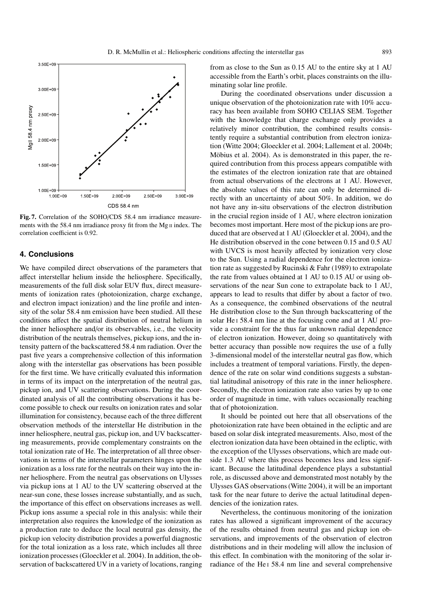

**Fig. 7.** Correlation of the SOHO/CDS 58.4 nm irradiance measurements with the 58.4 nm irradiance proxy fit from the Mg  $\scriptstyle\rm II$  index. The correlation coefficient is 0.92.

## **4. Conclusions**

We have compiled direct observations of the parameters that affect interstellar helium inside the heliosphere. Specifically, measurements of the full disk solar EUV flux, direct measurements of ionization rates (photoionization, charge exchange, and electron impact ionization) and the line profile and intensity of the solar 58.4 nm emission have been studied. All these conditions affect the spatial distribution of neutral helium in the inner heliosphere and/or its observables, i.e., the velocity distribution of the neutrals themselves, pickup ions, and the intensity pattern of the backscattered 58.4 nm radiation. Over the past five years a comprehensive collection of this information along with the interstellar gas observations has been possible for the first time. We have critically evaluated this information in terms of its impact on the interpretation of the neutral gas, pickup ion, and UV scattering observations. During the coordinated analysis of all the contributing observations it has become possible to check our results on ionization rates and solar illumination for consistency, because each of the three different observation methods of the interstellar He distribution in the inner heliosphere, neutral gas, pickup ion, and UV backscattering measurements, provide complementary constraints on the total ionization rate of He. The interpretation of all three observations in terms of the interstellar parameters hinges upon the ionization as a loss rate for the neutrals on their way into the inner heliosphere. From the neutral gas observations on Ulysses via pickup ions at 1 AU to the UV scattering observed at the near-sun cone, these losses increase substantially, and as such, the importance of this effect on observations increases as well. Pickup ions assume a special role in this analysis: while their interpretation also requires the knowledge of the ionization as a production rate to deduce the local neutral gas density, the pickup ion velocity distribution provides a powerful diagnostic for the total ionization as a loss rate, which includes all three ionization processes (Gloeckler et al. 2004). In addition, the observation of backscattered UV in a variety of locations, ranging

from as close to the Sun as 0.15 AU to the entire sky at 1 AU accessible from the Earth's orbit, places constraints on the illuminating solar line profile.

During the coordinated observations under discussion a unique observation of the photoionization rate with 10% accuracy has been available from SOHO CELIAS SEM. Together with the knowledge that charge exchange only provides a relatively minor contribution, the combined results consistently require a substantial contribution from electron ionization (Witte 2004; Gloeckler et al. 2004; Lallement et al. 2004b; Möbius et al. 2004). As is demonstrated in this paper, the required contribution from this process appears compatible with the estimates of the electron ionization rate that are obtained from actual observations of the electrons at 1 AU. However, the absolute values of this rate can only be determined directly with an uncertainty of about 50%. In addition, we do not have any in-situ observations of the electron distribution in the crucial region inside of 1 AU, where electron ionization becomes most important. Here most of the pickup ions are produced that are observed at 1 AU (Gloeckler et al. 2004), and the He distribution observed in the cone between 0.15 and 0.5 AU with UVCS is most heavily affected by ionization very close to the Sun. Using a radial dependence for the electron ionization rate as suggested by Rucinski & Fahr (1989) to extrapolate the rate from values obtained at 1 AU to 0.15 AU or using observations of the near Sun cone to extrapolate back to 1 AU, appears to lead to results that differ by about a factor of two. As a consequence, the combined observations of the neutral He distribution close to the Sun through backscattering of the solar He<sub>I</sub> 58.4 nm line at the focusing cone and at 1 AU provide a constraint for the thus far unknown radial dependence of electron ionization. However, doing so quantitatively with better accuracy than possible now requires the use of a fully 3-dimensional model of the interstellar neutral gas flow, which includes a treatment of temporal variations. Firstly, the dependence of the rate on solar wind conditions suggests a substantial latitudinal anisotropy of this rate in the inner heliosphere. Secondly, the electron ionization rate also varies by up to one order of magnitude in time, with values occasionally reaching that of photoionization.

It should be pointed out here that all observations of the photoionization rate have been obtained in the ecliptic and are based on solar disk integrated measurements. Also, most of the electron ionization data have been obtained in the ecliptic, with the exception of the Ulysses observations, which are made outside 1.3 AU where this process becomes less and less significant. Because the latitudinal dependence plays a substantial role, as discussed above and demonstrated most notably by the Ulysses GAS observations (Witte 2004), it will be an important task for the near future to derive the actual latitudinal dependencies of the ionization rates.

Nevertheless, the continuous monitoring of the ionization rates has allowed a significant improvement of the accuracy of the results obtained from neutral gas and pickup ion observations, and improvements of the observation of electron distributions and in their modeling will allow the inclusion of this effect. In combination with the monitoring of the solar irradiance of the He<sub>I</sub> 58.4 nm line and several comprehensive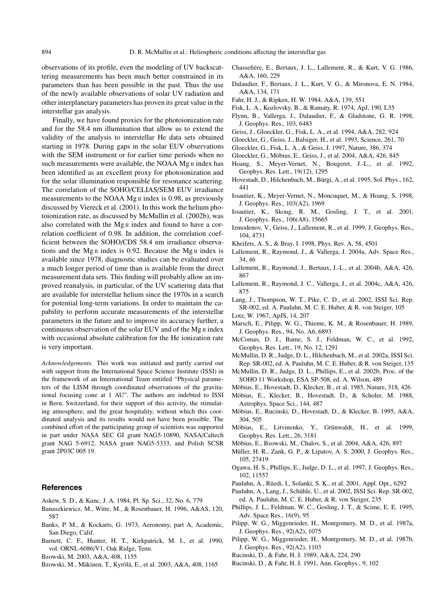observations of its profile, even the modeling of UV backscattering measurements has been much better constrained in its parameters than has been possible in the past. Thus the use of the newly available observations of solar UV radiation and other interplanetary parameters has proven its great value in the interstellar gas analysis.

Finally, we have found proxies for the photoionization rate and for the 58.4 nm illumination that allow us to extend the validity of the analysis to interstellar He data sets obtained starting in 1978. During gaps in the solar EUV observations with the SEM instrument or for earlier time periods when no such measurements were available, the NOAA Mg II index has been identified as an excellent proxy for photoionization and for the solar illumination responsible for resonance scattering. The correlation of the SOHO/CELIAS/SEM EUV irradiance measurements to the NOAA Mg II index is 0.98, as previously discussed by Viereck et al. (2001). In this work the helium photoionization rate, as discussed by McMullin et al. (2002b), was also correlated with the Mg $\scriptstyle\rm II$  index and found to have a correlation coefficient of 0.98. In addition, the correlation coefficient between the SOHO/CDS 58.4 nm irradiance observations and the Mg<sub>II</sub> index is 0.92. Because the Mg<sub>II</sub> index is available since 1978, diagnostic studies can be evaluated over a much longer period of time than is available from the direct measurement data sets. This finding will probably allow an improved reanalysis, in particular, of the UV scattering data that are available for interstellar helium since the 1970s in a search for potential long-term variations. In order to maintain the capability to perform accurate measurements of the interstellar parameters in the future and to improve its accuracy further, a continuous observation of the solar EUV and of the Mg II index with occasional absolute calibration for the He ionization rate is very important.

*Acknowledgements.* This work was initiated and partly carried out with support from the International Space Science Institute (ISSI) in the framework of an International Team entitled "Physical parameters of the LISM through coordinated observations of the gravitational focusing cone at 1 AU". The authors are indebted to ISSI in Bern, Switzerland, for their support of this activity, the stimulating atmosphere, and the great hospitality, without which this coordinated analysis and its results would not have been possible. The combined effort of the participating group of scientists was supported in part under NASA SEC GI grant NAG5-10890, NASA/Caltech grant NAG 5-6912, NASA grant NAG5-5333, and Polish SCSR grant 2P03C 005 19.

#### **References**

- Askew, S. D., & Kunc, J. A. 1984, Pl. Sp. Sci., 32, No. 6, 779
- Banaszkiewicz, M., Witte, M., & Rosenbauer, H. 1996, A&AS, 120, 587
- Banks, P. M., & Kockarts, G. 1973, Aeronomy, part A, Academic, San Diego, Calif.
- Barnett, C. F., Hunter, H. T., Kirkpatrick, M. I., et al. 1990, vol. ORNL-6086/V1, Oak Ridge, Tenn.

Bzowski, M. 2003, A&A, 408, 1155

Bzowski, M., Mäkinen, T., Kyrölä, E., et al. 2003, A&A, 408, 1165

- Chassefière, E., Bertaux, J. L., Lallement, R., & Kurt, V. G. 1986, A&A, 160, 229
- Dalaudier, F., Bertaux, J. L., Kurt, V. G., & Mironova, E. N. 1984, A&A, 134, 171
- Fahr, H. J., & Ripken, H. W. 1984, A&A, 139, 551
- Fisk, L. A., Kozlovsky, B., & Ramaty, R. 1974, ApJ, 190, L35
- Flynn, B., Vallerga, J., Dalaudier, F., & Gladstone, G. R. 1998, J. Geophys. Res., 103, 6483
- Geiss, J., Gloeckler, G., Fisk, L. A., et al. 1994, A&A, 282, 924
- Gloeckler, G., Geiss, J., Balsiger, H., et al. 1993, Science, 261, 70
- Gloeckler, G., Fisk, L. A., & Geiss, J. 1997, Nature, 386, 374
- Gloeckler, G., Möbius, E., Geiss, J., et al. 2004, A&A, 426, 845
- Hoang, S., Meyer-Vernet, N., Bougeret, J.-L., et al. 1992, Geophys. Res. Lett., 19(12), 1295
- Hovestadt, D., Hilchenbach, M., Bürgi, A., et al. 1995, Sol. Phys., 162, 441
- Issautier, K., Meyer-Vernet, N., Moncuquet, M., & Hoang, S. 1998, J. Geophys. Res., 103(A2), 1969
- Issautier, K., Skoug, R. M., Gosling, J. T., et al. 2001, J. Geophys. Res., 106(A8), 15665
- Izmodenov, V., Geiss, J., Lallement, R., et al. 1999, J. Geophys. Res., 104, 4731
- Kheifets, A. S., & Bray, I. 1998, Phys. Rev. A, 58, 4501
- Lallement, R., Raymond, J., & Vallerga, J. 2004a, Adv. Space Res., 34, 46
- Lallement, R., Raymond, J., Bertaux, J.-L., et al. 2004b, A&A, 426, 867
- Lallement, R., Raymond, J. C., Vallerga, J., et al. 2004c, A&A, 426, 875
- Lang, J., Thompson, W. T., Pike, C. D., et al. 2002, ISSI Sci. Rep. SR-002, ed. A. Pauluhn, M. C. E. Huber, & R. von Steiger, 105
- Lotz, W. 1967, ApJS, 14, 207
- Marsch, E., Pilipp, W. G., Thieme, K. M., & Rosenbauer, H. 1989, J. Geophys. Res., 94, No. A6, 6893
- McComas, D. J., Bame, S. J., Feldman, W. C., et al. 1992, Geophys. Res. Lett., 19, No. 12, 1291
- McMullin, D. R., Judge, D. L., Hilchenbach, M., et al. 2002a, ISSI Sci. Rep. SR-002, ed. A. Pauluhn, M. C. E. Huber, & R. von Steiger, 135
- McMullin, D. R., Judge, D. L., Phillips, E., et al. 2002b, Proc. of the SOHO 11 Workshop, ESA SP-508, ed. A. Wilson, 489
- Möbius, E., Hovestadt, D., Klecker, B., et al. 1985, Nature, 318, 426
- Möbius, E., Klecker, B., Hovestadt, D., & Scholer, M. 1988, Astrophys. Space Sci., 144, 487
- Möbius, E., Rucinski, D., Hovestadt, D., & Klecker, B. 1995, A&A, 304, 505
- Möbius, E., Litvinenko, Y., Grünwaldt, H., et al. 1999, Geophys. Res. Lett., 26, 3181
- Möbius, E., Bzowski, M., Chalov, S., et al. 2004, A&A, 426, 897
- Müller, H. R., Zank, G. P., & Lipatov, A. S. 2000, J. Geophys. Res., 105, 27419
- Ogawa, H. S., Phillips, E., Judge, D. L., et al. 1997, J. Geophys. Res., 102, 11557
- Pauluhn, A., Rüedi, I., Solanki, S. K., et al. 2001, Appl. Opt., 6292
- Pauluhn, A., Lang, J., Schühle, U., et al. 2002, ISSI Sci. Rep. SR-002, ed. A. Pauluhn, M. C. E. Huber, & R. von Steiger, 235
- Phillips, J. L., Feldman, W. C., Gosling, J. T., & Scime, E. E. 1995, Adv. Space Res., 16(9), 95
- Pilipp, W. G., Miggenrieder, H., Montgomery, M. D., et al. 1987a, J. Geophys. Res., 92(A2), 1075
- Pilipp, W. G., Miggenrieder, H., Montgomery, M. D., et al. 1987b, J. Geophys. Res., 92(A2), 1103
- Rucinski, D., & Fahr, H. J. 1989, A&A, 224, 290
- Rucinski, D., & Fahr, H. J. 1991, Ann. Geophys., 9, 102